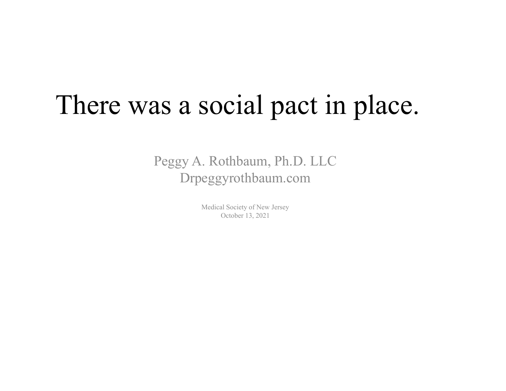# There was a social pact in place.

Peggy A. Rothbaum, Ph.D. LLC Drpeggyrothbaum.com

> Medical Society of New Jersey October 13, 2021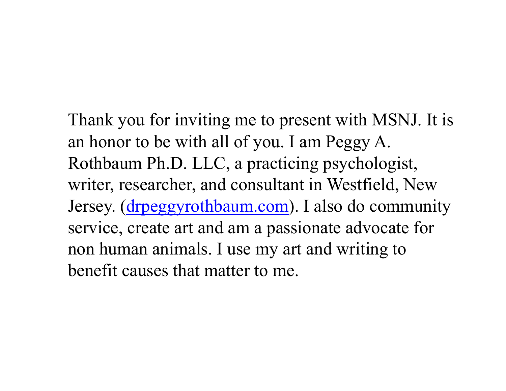# Thank you for inviting me to present with MSNJ. It is an honor to be with all of you. I am Peggy A.

Rothbaum Ph.D. LLC, a practicing psychologist, writer, researcher, and consultant in Westfield, New Jersey. (drpeggyrothbaum.com). I also do community service, create art and am a passionate advocate for non human animals. I use my art and writing to benefit causes that matter to me.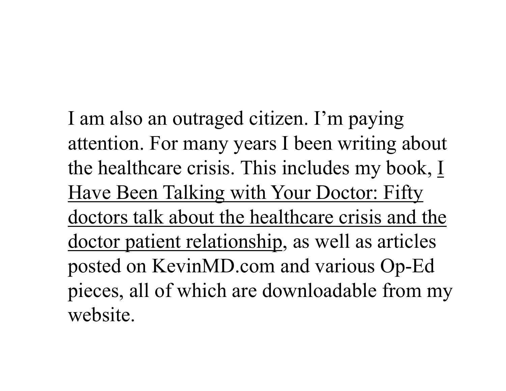I am also an outraged citizen. I'm paying attention. For many years I been writing about the healthcare crisis. This includes my book, I Have Been Talking with Your Doctor: Fifty doctors talk about the healthcare crisis and the doctor patient relationship, as well as articles posted on KevinMD.com and various Op-Ed pieces, all of which are downloadable from my website.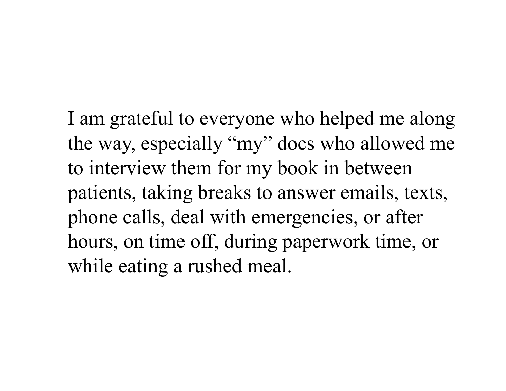I am grateful to everyone who helped me along the way, especially "my" docs who allowed me to interview them for my book in between patients, taking breaks to answer emails, texts, phone calls, deal with emergencies, or after hours, on time off, during paperwork time, or while eating a rushed meal.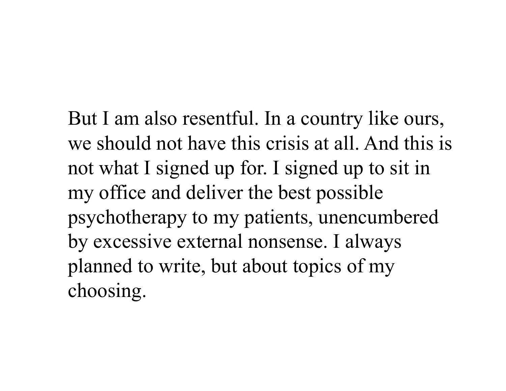But I am also resentful. In a country like ours, we should not have this crisis at all. And this is not what I signed up for. I signed up to sit in my office and deliver the best possible psychotherapy to my patients, unencumbered by excessive external nonsense. I always planned to write, but about topics of my choosing.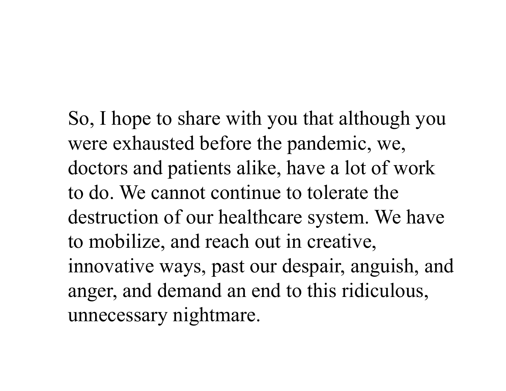So, I hope to share with you that although you were exhausted before the pandemic, we, doctors and patients alike, have a lot of work to do. We cannot continue to tolerate the destruction of our healthcare system. We have to mobilize, and reach out in creative, innovative ways, past our despair, anguish, and anger, and demand an end to this ridiculous, unnecessary nightmare.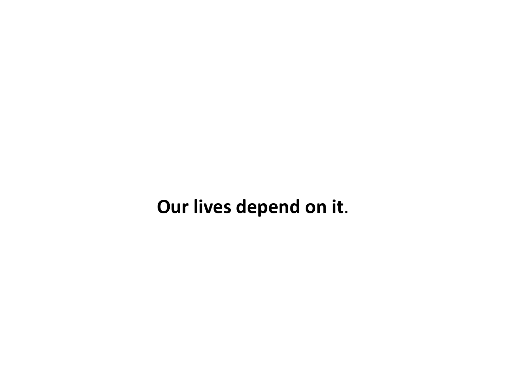**Our lives depend on it**.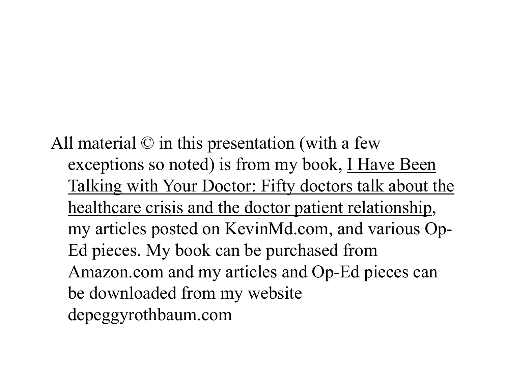All material © in this presentation (with a few exceptions so noted) is from my book, I Have Been Talking with Your Doctor: Fifty doctors talk about the healthcare crisis and the doctor patient relationship, my articles posted on KevinMd.com, and various Op-Ed pieces. My book can be purchased from Amazon.com and my articles and Op-Ed pieces can be downloaded from my website depeggyrothbaum.com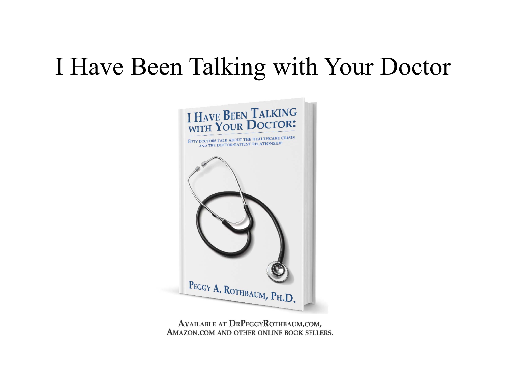# I Have Been Talking with Your Doctor



AVAILABLE AT DRPEGGYROTHBAUM.COM, AMAZON.COM AND OTHER ONLINE BOOK SELLERS.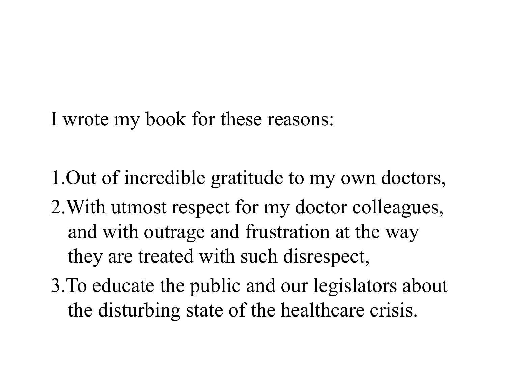I wrote my book for these reasons:

1.Out of incredible gratitude to my own doctors,

- 2.With utmost respect for my doctor colleagues, and with outrage and frustration at the way they are treated with such disrespect,
- 3.To educate the public and our legislators about the disturbing state of the healthcare crisis.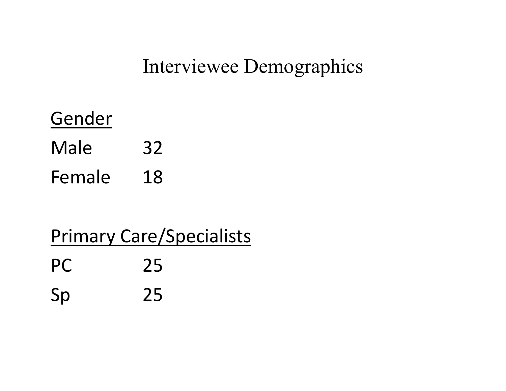#### Interviewee Demographics

Gender Male 32 Female 18

### Primary Care/Specialists PC 25 Sp 25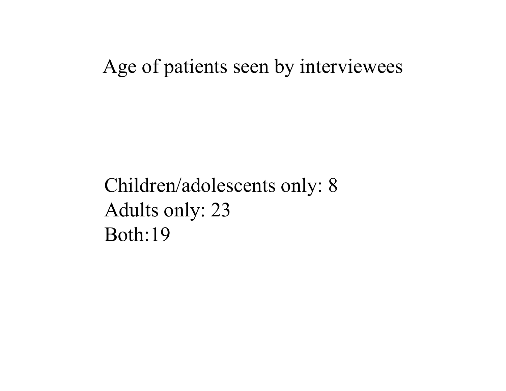Age of patients seen by interviewees

Children/adolescents only: 8 Adults only: 23 Both:19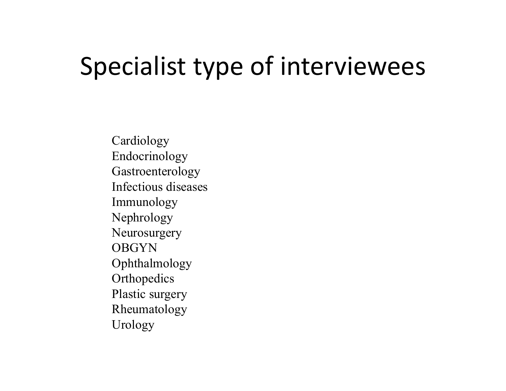# Specialist type of interviewees

Cardiology Endocrinology Gastroenterology Infectious diseasesImmunology Nephrology Neurosurgery OBGYN Ophthalmology Orthopedics Plastic surgery Rheumatology Urology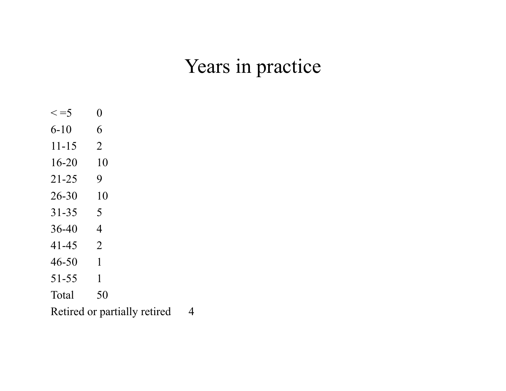#### Years in practice

 $\lt = 5$  0 6-10 6 11-15 2 16-20 10 21-25 9 26-30 10 31-35 5 36-40 4 41-45 2 46-50 1 51-55 1 Total 50

Retired or partially retired 4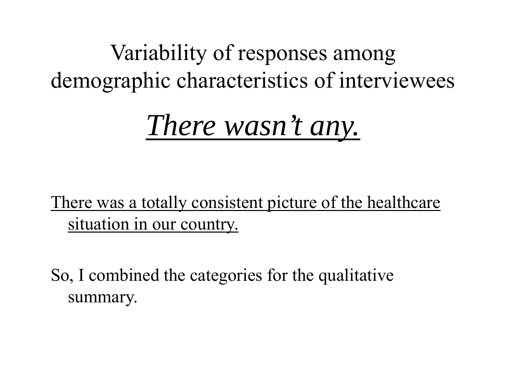Variability of responses among demographic characteristics of interviewees

*There wasn't any.*

There was a totally consistent picture of the healthcare situation in our country.

So, I combined the categories for the qualitative summary.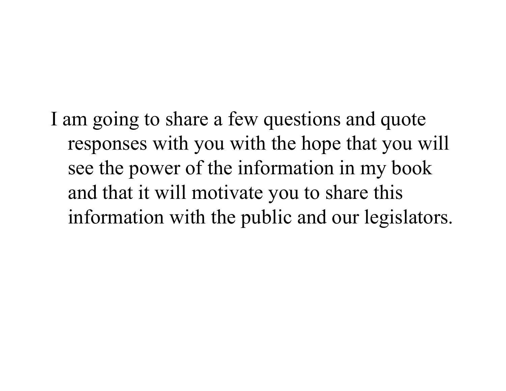I am going to share a few questions and quote responses with you with the hope that you will see the power of the information in my book and that it will motivate you to share this information with the public and our legislators.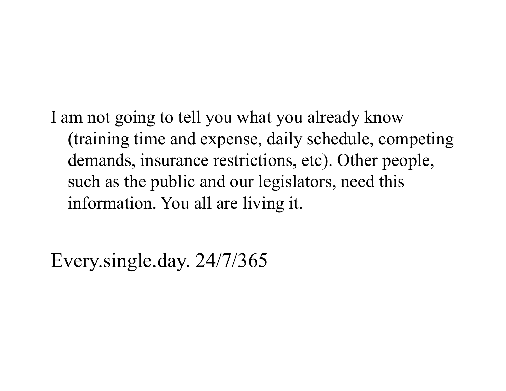I am not going to tell you what you already know (training time and expense, daily schedule, competing demands, insurance restrictions, etc). Other people, such as the public and our legislators, need this information. You all are living it.

Every.single.day. 24/7/365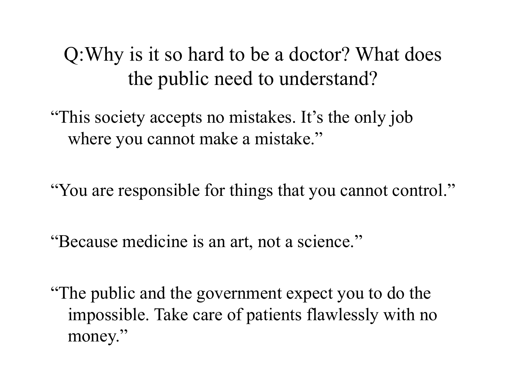Q:Why is it so hard to be a doctor? What does the public need to understand?

"This society accepts no mistakes. It's the only job where you cannot make a mistake."

"You are responsible for things that you cannot control."

"Because medicine is an art, not a science."

"The public and the government expect you to do the impossible. Take care of patients flawlessly with no money."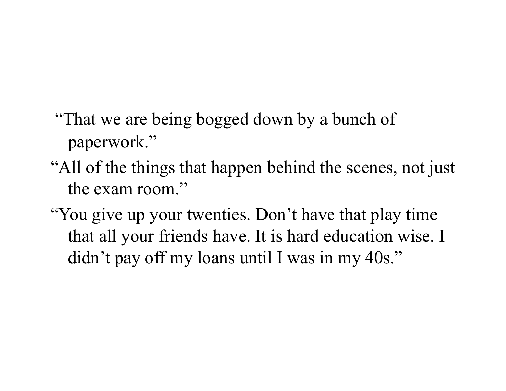- "That we are being bogged down by a bunch of paperwork."
- "All of the things that happen behind the scenes, not just the exam room."
- "You give up your twenties. Don't have that play time that all your friends have. It is hard education wise. I didn't pay off my loans until I was in my 40s."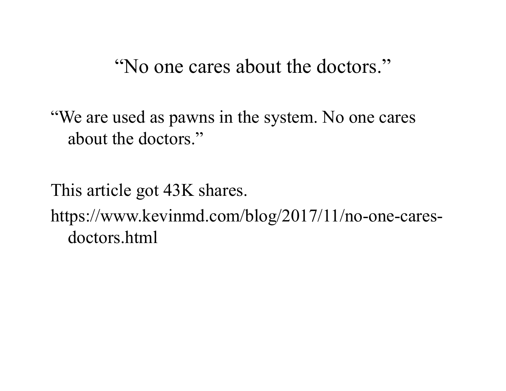"No one cares about the doctors."

"We are used as pawns in the system. No one cares about the doctors."

This article got 43K shares. https://www.kevinmd.com/blog/2017/11/no-one-caresdoctors.html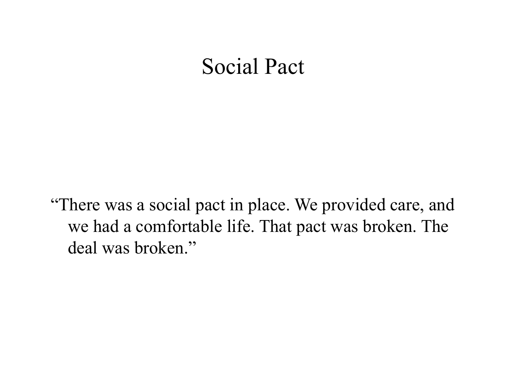#### Social Pact

"There was a social pact in place. We provided care, and we had a comfortable life. That pact was broken. The deal was broken."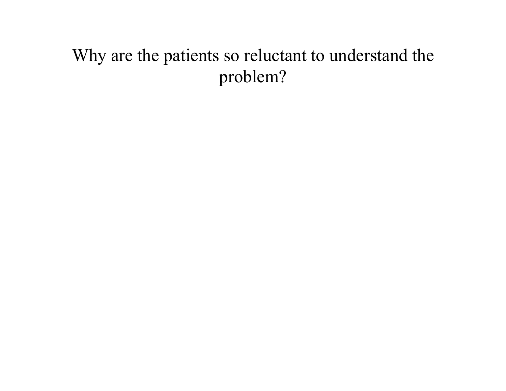#### Why are the patients so reluctant to understand the problem?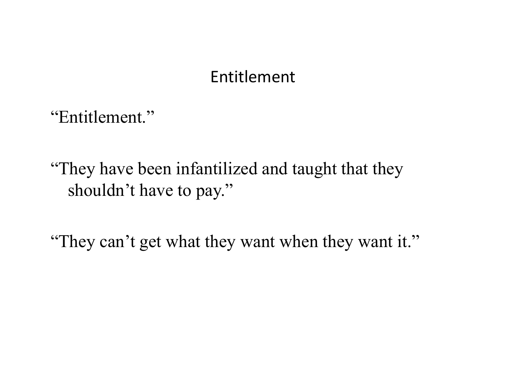#### Entitlement

"Entitlement."

"They have been infantilized and taught that they shouldn't have to pay."

"They can't get what they want when they want it."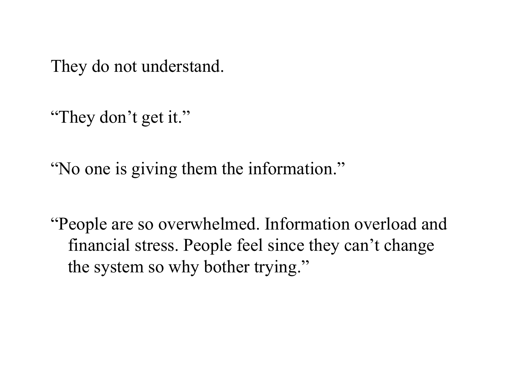They do not understand.

"They don't get it."

"No one is giving them the information."

"People are so overwhelmed. Information overload and financial stress. People feel since they can't change the system so why bother trying."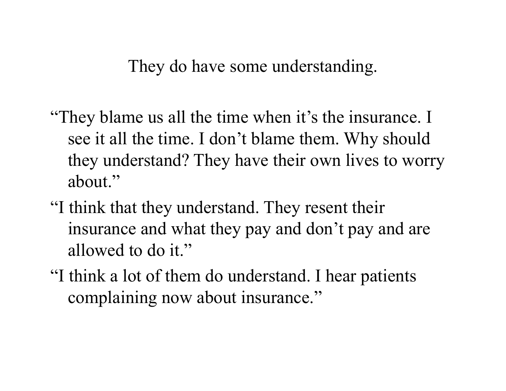They do have some understanding.

- "They blame us all the time when it's the insurance. I see it all the time. I don't blame them. Why should they understand? They have their own lives to worry about."
- "I think that they understand. They resent their insurance and what they pay and don't pay and are allowed to do it."
- "I think a lot of them do understand. I hear patients complaining now about insurance."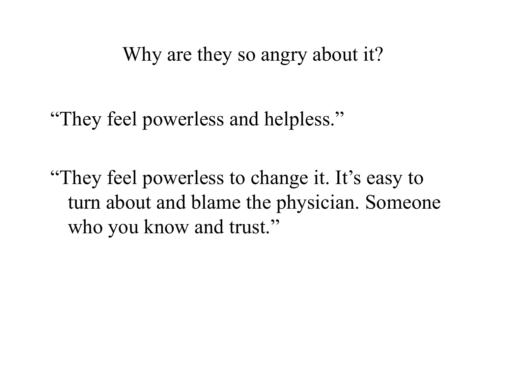Why are they so angry about it?

"They feel powerless and helpless."

"They feel powerless to change it. It's easy to turn about and blame the physician. Someone who you know and trust."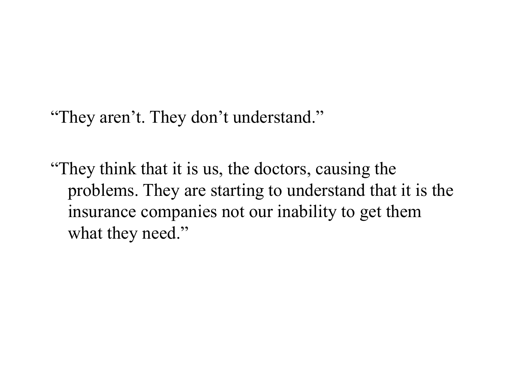"They aren't. They don't understand."

"They think that it is us, the doctors, causing the problems. They are starting to understand that it is the insurance companies not our inability to get them what they need."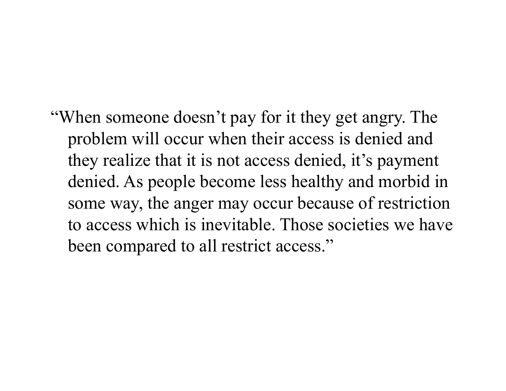"When someone doesn't pay for it they get angry. The problem will occur when their access is denied and they realize that it is not access denied, it's payment denied. As people become less healthy and morbid in some way, the anger may occur because of restriction to access which is inevitable. Those societies we have been compared to all restrict access."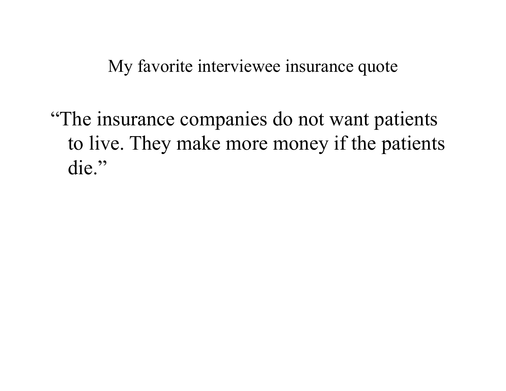My favorite interviewee insurance quote

"The insurance companies do not want patients to live. They make more money if the patients die."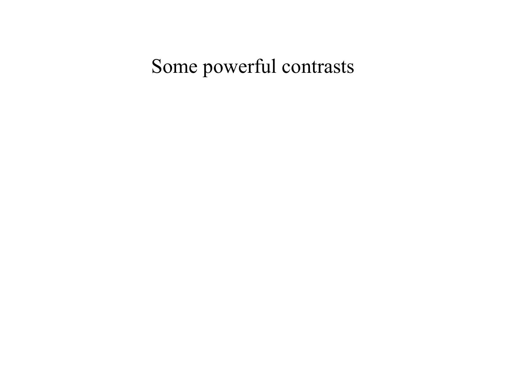### Some powerful contrasts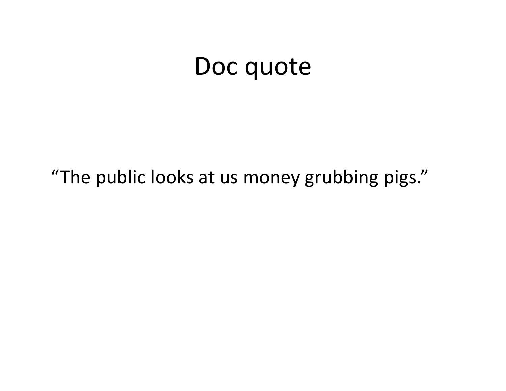### Doc quote

"The public looks at us money grubbing pigs."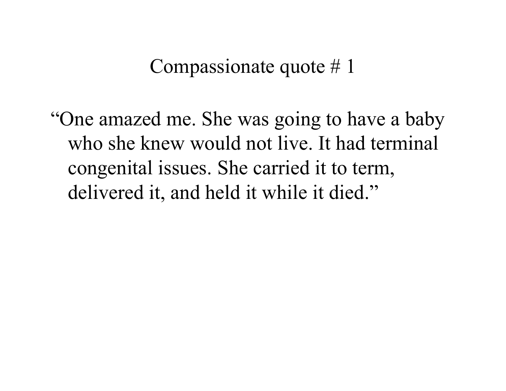Compassionate quote # 1

"One amazed me. She was going to have a baby who she knew would not live. It had terminal congenital issues. She carried it to term, delivered it, and held it while it died."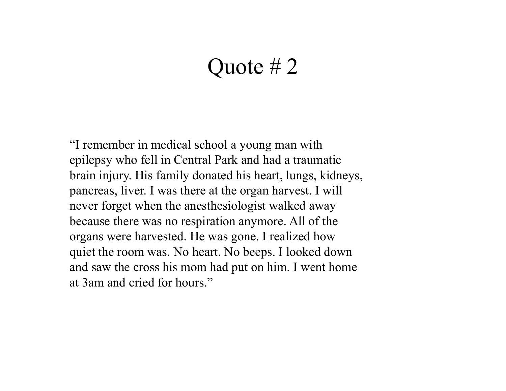#### Quote # 2

"I remember in medical school a young man with epilepsy who fell in Central Park and had a traumatic brain injury. His family donated his heart, lungs, kidneys, pancreas, liver. I was there at the organ harvest. I will never forget when the anesthesiologist walked away because there was no respiration anymore. All of the organs were harvested. He was gone. I realized how quiet the room was. No heart. No beeps. I looked down and saw the cross his mom had put on him. I went home at 3am and cried for hours."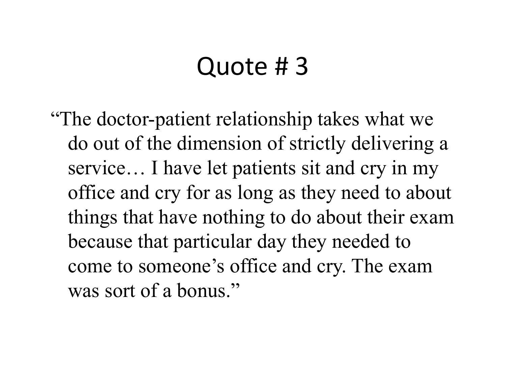### Quote # 3

"The doctor-patient relationship takes what we do out of the dimension of strictly delivering a service… I have let patients sit and cry in my office and cry for as long as they need to about things that have nothing to do about their exam because that particular day they needed to come to someone's office and cry. The exam was sort of a bonus."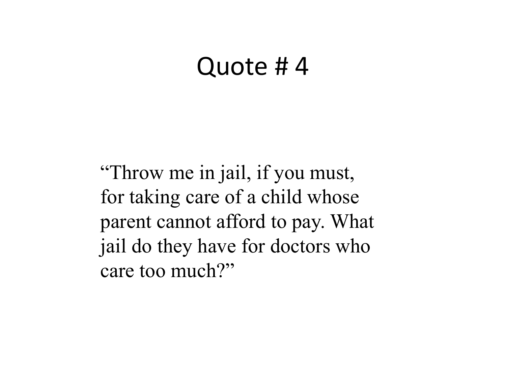### Quote # 4

"Throw me in jail, if you must, for taking care of a child whose parent cannot afford to pay. What jail do they have for doctors who care too much?"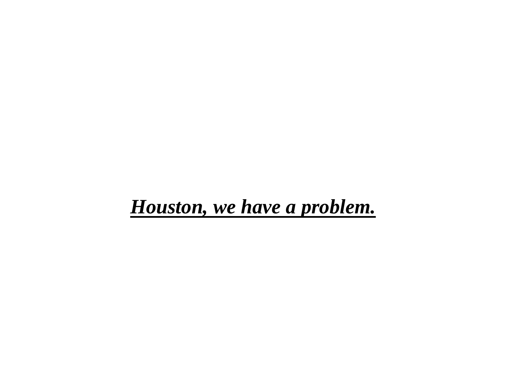#### *Houston, we have a problem.*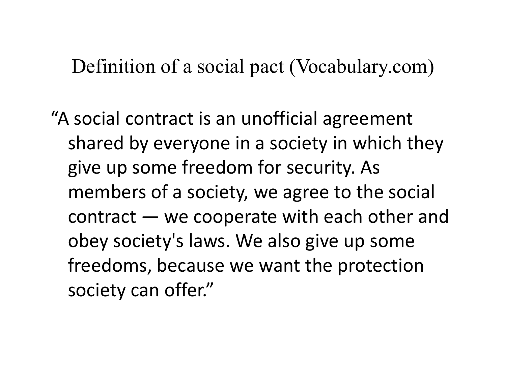Definition of a social pact (Vocabulary.com)

"A social contract is an unofficial agreement shared by everyone in a society in which they give up some freedom for security. As members of a society, we agree to the social contract — we cooperate with each other and obey society's laws. We also give up some freedoms, because we want the protection society can offer."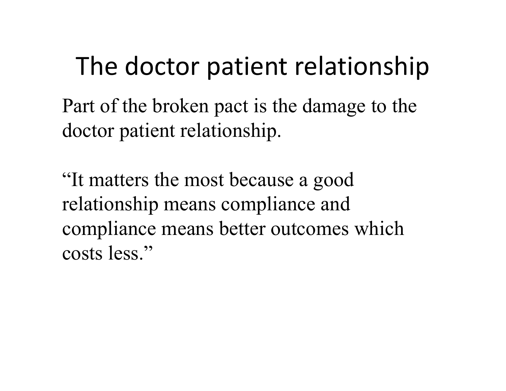# The doctor patient relationship

Part of the broken pact is the damage to the doctor patient relationship.

"It matters the most because a good relationship means compliance and compliance means better outcomes which costs less."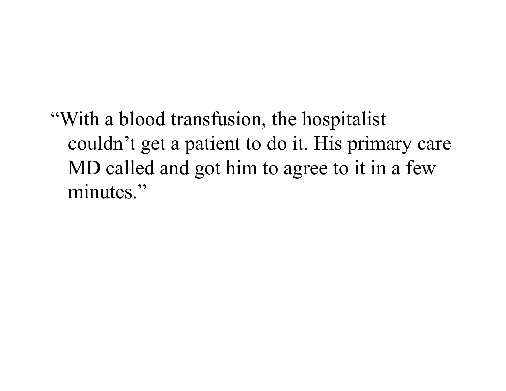"With a blood transfusion, the hospitalist couldn't get a patient to do it. His primary care MD called and got him to agree to it in a few minutes."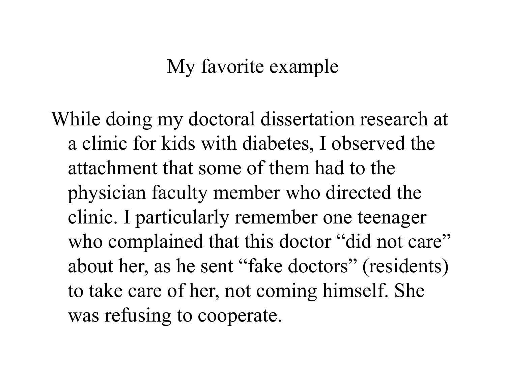### My favorite example

While doing my doctoral dissertation research at a clinic for kids with diabetes, I observed the attachment that some of them had to the physician faculty member who directed the clinic. I particularly remember one teenager who complained that this doctor "did not care" about her, as he sent "fake doctors" (residents) to take care of her, not coming himself. She was refusing to cooperate.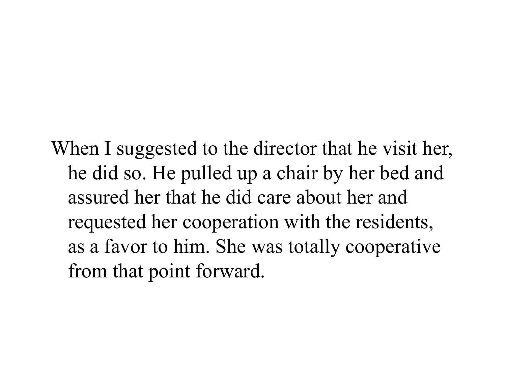When I suggested to the director that he visit her, he did so. He pulled up a chair by her bed and assured her that he did care about her and requested her cooperation with the residents, as a favor to him. She was totally cooperative from that point forward.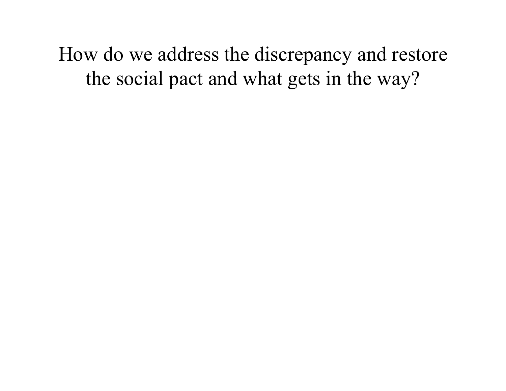How do we address the discrepancy and restore the social pact and what gets in the way?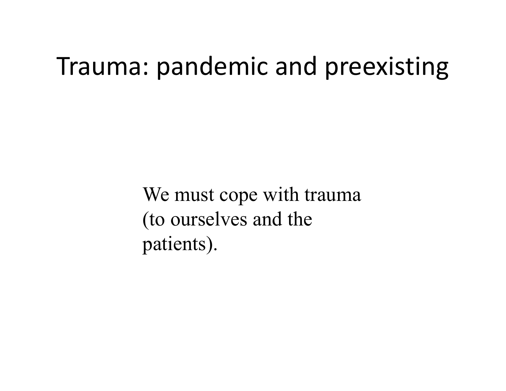## Trauma: pandemic and preexisting

We must cope with trauma (to ourselves and the patients).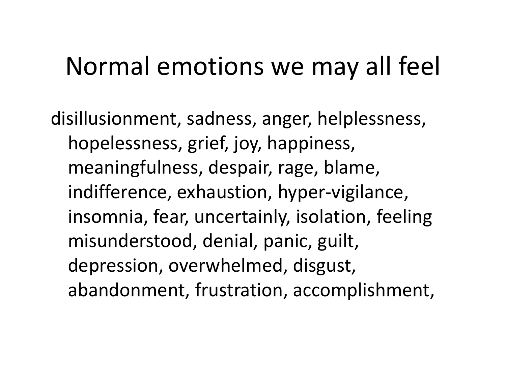# Normal emotions we may all feel

disillusionment, sadness, anger, helplessness, hopelessness, grief, joy, happiness, meaningfulness, despair, rage, blame, indifference, exhaustion, hyper-vigilance, insomnia, fear, uncertainly, isolation, feeling misunderstood, denial, panic, guilt, depression, overwhelmed, disgust, abandonment, frustration, accomplishment,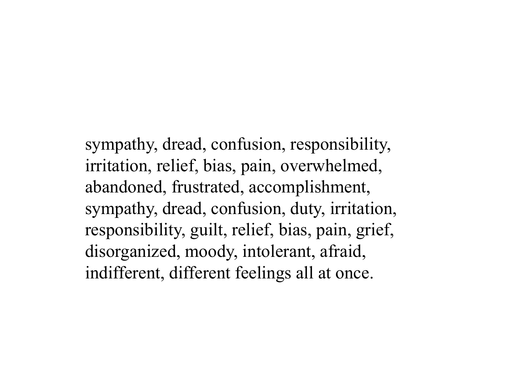sympathy, dread, confusion, responsibility, irritation, relief, bias, pain, overwhelmed, abandoned, frustrated, accomplishment, sympathy, dread, confusion, duty, irritation, responsibility, guilt, relief, bias, pain, grief, disorganized, moody, intolerant, afraid, indifferent, different feelings all at once.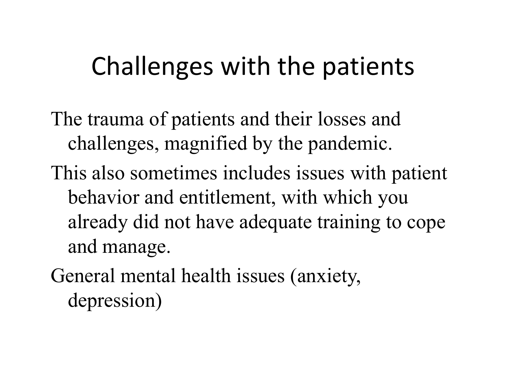# Challenges with the patients

- The trauma of patients and their losses and challenges, magnified by the pandemic.
- This also sometimes includes issues with patient behavior and entitlement, with which you already did not have adequate training to cope and manage.
- General mental health issues (anxiety, depression)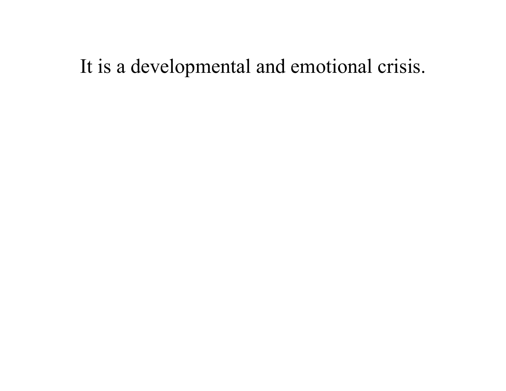## It is a developmental and emotional crisis.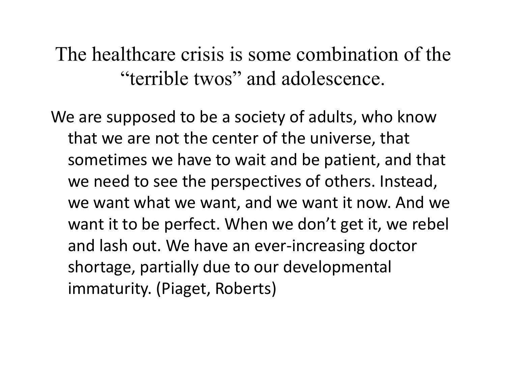The healthcare crisis is some combination of the "terrible twos" and adolescence.

We are supposed to be a society of adults, who know that we are not the center of the universe, that sometimes we have to wait and be patient, and that we need to see the perspectives of others. Instead, we want what we want, and we want it now. And we want it to be perfect. When we don't get it, we rebel and lash out. We have an ever-increasing doctor shortage, partially due to our developmental immaturity. (Piaget, Roberts)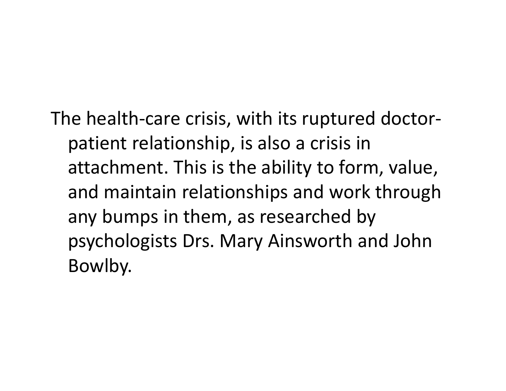The health-care crisis, with its ruptured doctorpatient relationship, is also a crisis in attachment. This is the ability to form, value, and maintain relationships and work through any bumps in them, as researched by psychologists Drs. Mary Ainsworth and John Bowlby.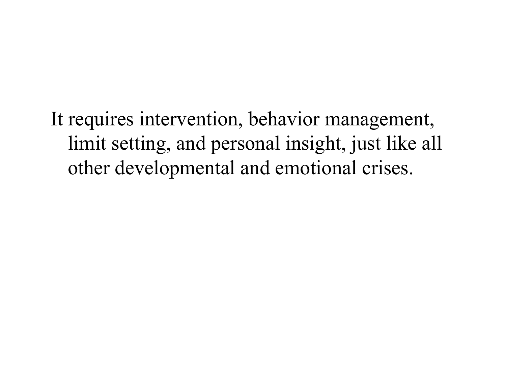It requires intervention, behavior management, limit setting, and personal insight, just like all other developmental and emotional crises.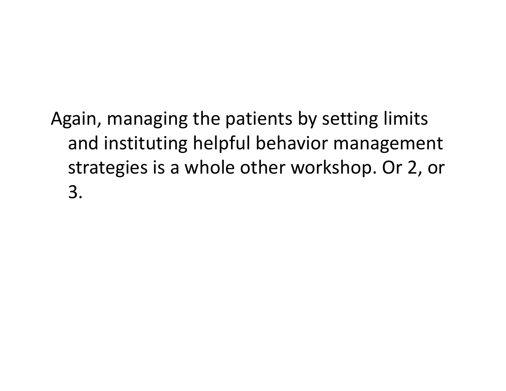Again, managing the patients by setting limits and instituting helpful behavior management strategies is a whole other workshop. Or 2, or 3.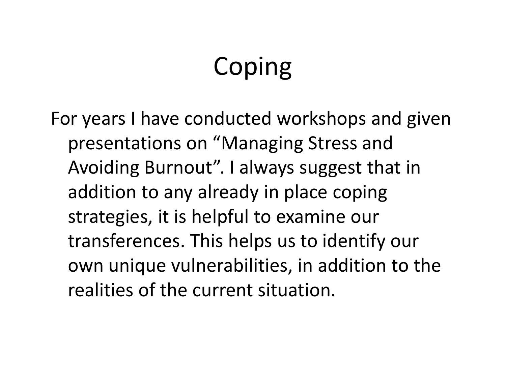# Coping

For years I have conducted workshops and given presentations on "Managing Stress and Avoiding Burnout". I always suggest that in addition to any already in place coping strategies, it is helpful to examine our transferences. This helps us to identify our own unique vulnerabilities, in addition to the realities of the current situation.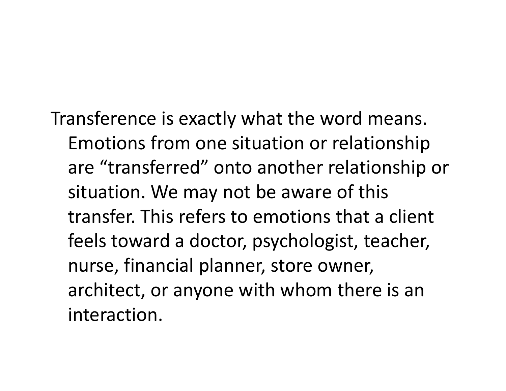Transference is exactly what the word means. Emotions from one situation or relationship are "transferred" onto another relationship or situation. We may not be aware of this transfer. This refers to emotions that a client feels toward a doctor, psychologist, teacher, nurse, financial planner, store owner, architect, or anyone with whom there is an interaction.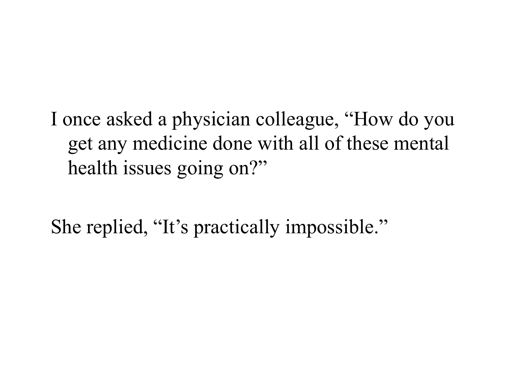I once asked a physician colleague, "How do you get any medicine done with all of these mental health issues going on?"

She replied, "It's practically impossible."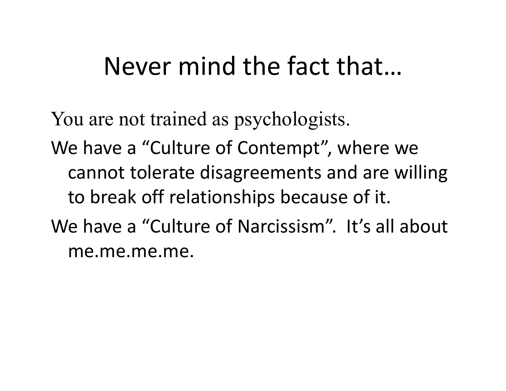# Never mind the fact that…

You are not trained as psychologists. We have a "Culture of Contempt", where we cannot tolerate disagreements and are willing to break off relationships because of it. We have a "Culture of Narcissism". It's all about me.me.me.me.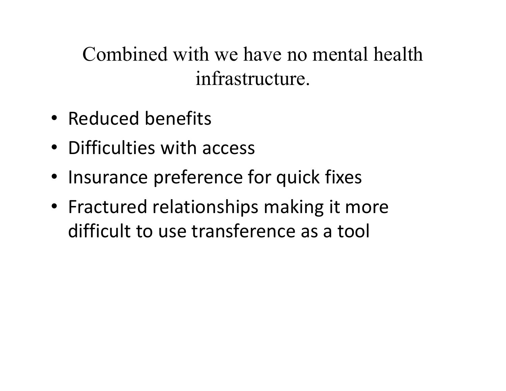Combined with we have no mental health infrastructure.

- Reduced benefits
- Difficulties with access
- Insurance preference for quick fixes
- Fractured relationships making it more difficult to use transference as a tool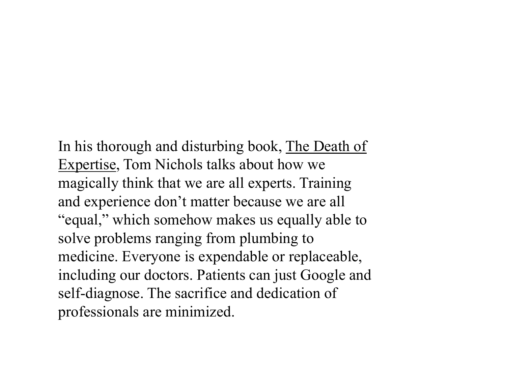In his thorough and disturbing book, The Death of Expertise, Tom Nichols talks about how we magically think that we are all experts. Training and experience don't matter because we are all "equal," which somehow makes us equally able to solve problems ranging from plumbing to medicine. Everyone is expendable or replaceable, including our doctors. Patients can just Google and self-diagnose. The sacrifice and dedication of professionals are minimized.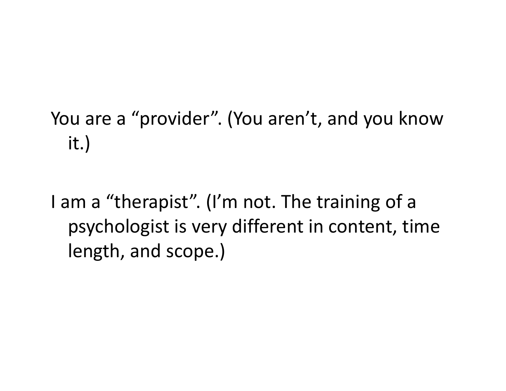## You are a "provider". (You aren't, and you know it.)

I am a "therapist". (I'm not. The training of a psychologist is very different in content, time length, and scope.)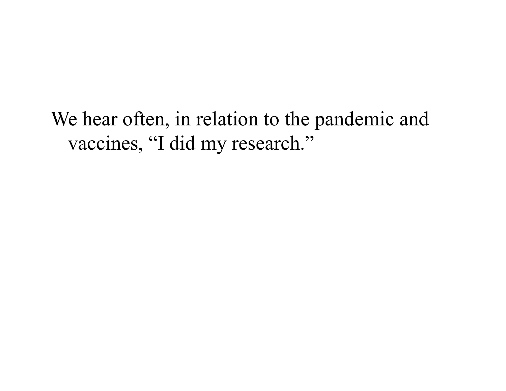We hear often, in relation to the pandemic and vaccines, "I did my research."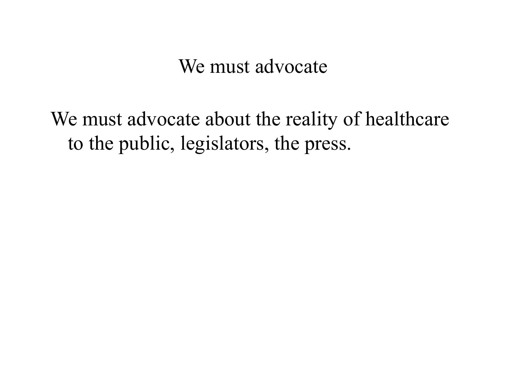We must advocate

We must advocate about the reality of healthcare to the public, legislators, the press.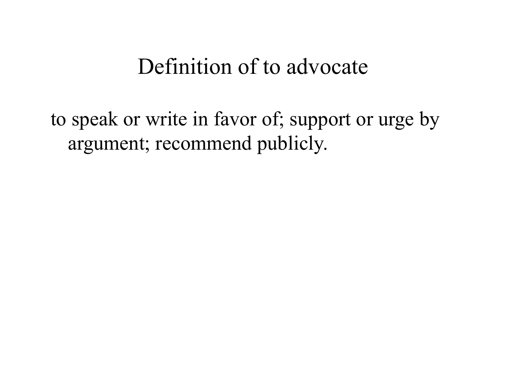## Definition of to advocate

to speak or write in favor of; support or urge by argument; recommend publicly.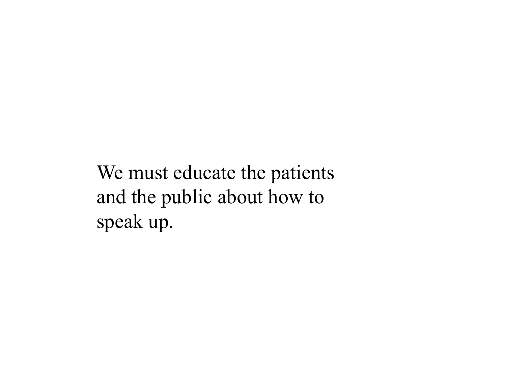We must educate the patients and the public about how to speak up.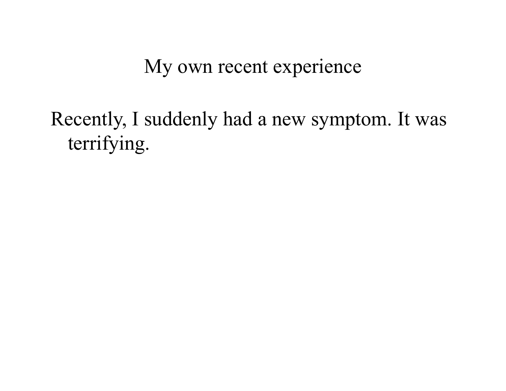My own recent experience

Recently, I suddenly had a new symptom. It was terrifying.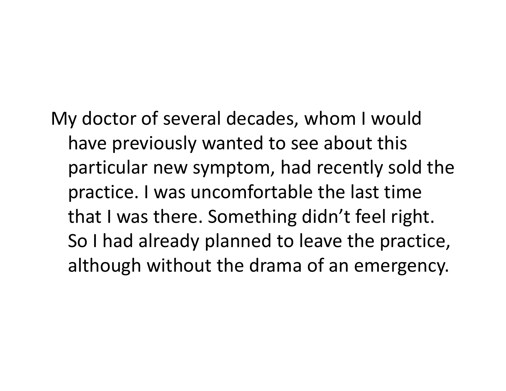My doctor of several decades, whom I would have previously wanted to see about this particular new symptom, had recently sold the practice. I was uncomfortable the last time that I was there. Something didn't feel right. So I had already planned to leave the practice, although without the drama of an emergency.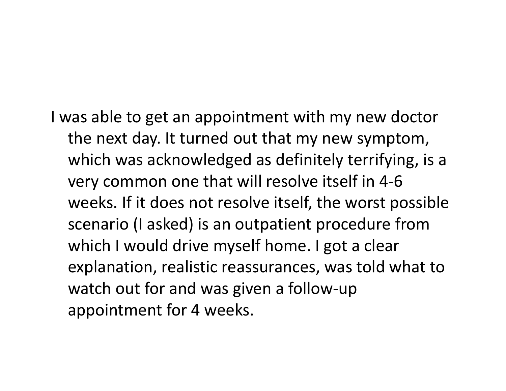I was able to get an appointment with my new doctor the next day. It turned out that my new symptom, which was acknowledged as definitely terrifying, is a very common one that will resolve itself in 4-6 weeks. If it does not resolve itself, the worst possible scenario (I asked) is an outpatient procedure from which I would drive myself home. I got a clear explanation, realistic reassurances, was told what to watch out for and was given a follow-up appointment for 4 weeks.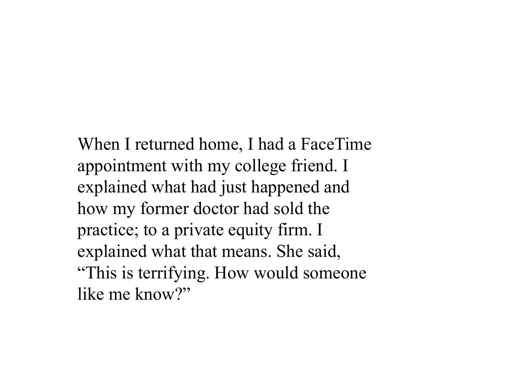When I returned home, I had a FaceTime appointment with my college friend. I explained what had just happened and how my former doctor had sold the practice; to a private equity firm. I explained what that means. She said, "This is terrifying. How would someone like me know?"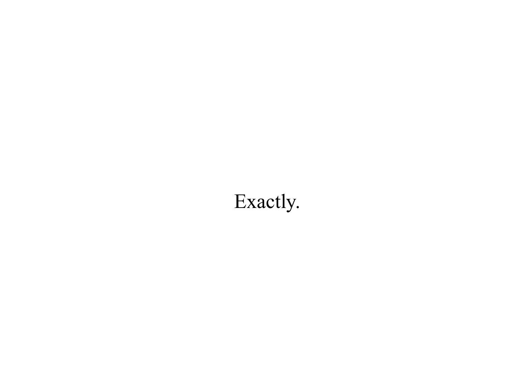## Exactly.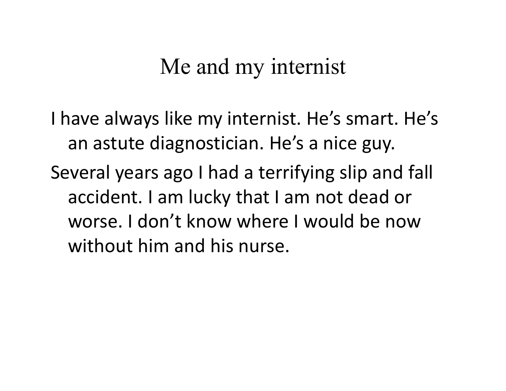## Me and my internist

I have always like my internist. He's smart. He's an astute diagnostician. He's a nice guy. Several years ago I had a terrifying slip and fall accident. I am lucky that I am not dead or worse. I don't know where I would be now without him and his nurse.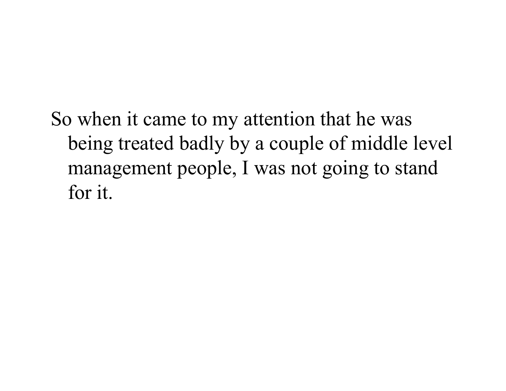So when it came to my attention that he was being treated badly by a couple of middle level management people, I was not going to stand for it.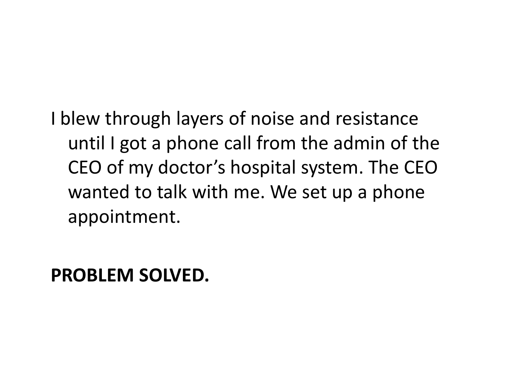I blew through layers of noise and resistance until I got a phone call from the admin of the CEO of my doctor's hospital system. The CEO wanted to talk with me. We set up a phone appointment.

**PROBLEM SOLVED.**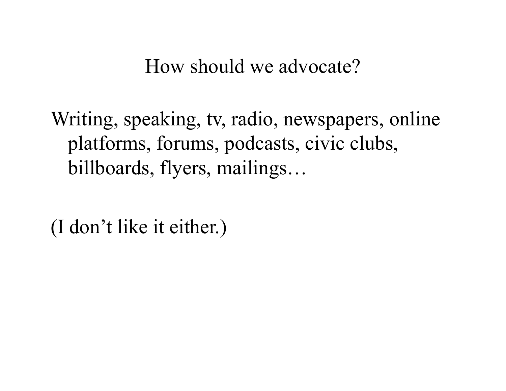How should we advocate?

Writing, speaking, tv, radio, newspapers, online platforms, forums, podcasts, civic clubs, billboards, flyers, mailings…

(I don't like it either.)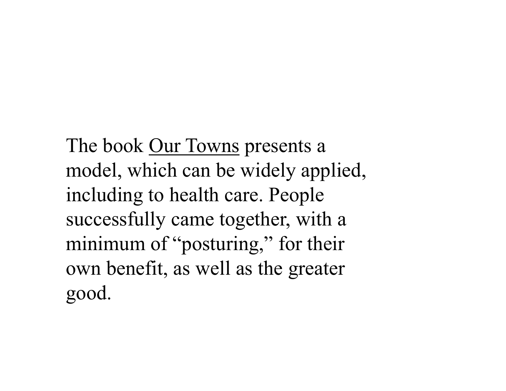The book <u>Our Towns</u> presents a model, which can be widely applied, including to health care. People successfully came together, with a minimum of "posturing," for their own benefit, as well as the greater good.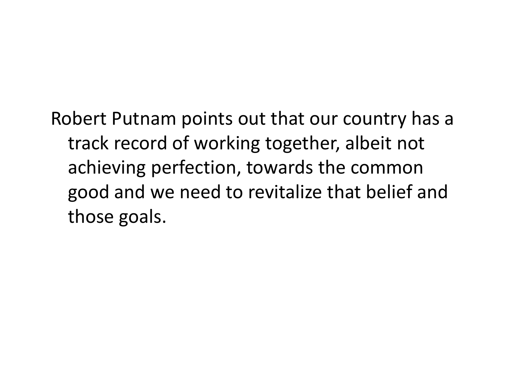Robert Putnam points out that our country has a track record of working together, albeit not achieving perfection, towards the common good and we need to revitalize that belief and those goals.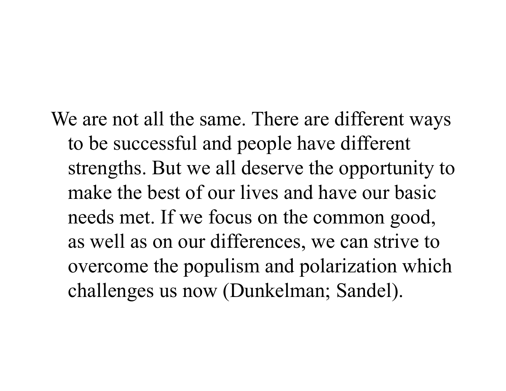We are not all the same. There are different ways to be successful and people have different strengths. But we all deserve the opportunity to make the best of our lives and have our basic needs met. If we focus on the common good, as well as on our differences, we can strive to overcome the populism and polarization which challenges us now (Dunkelman; Sandel).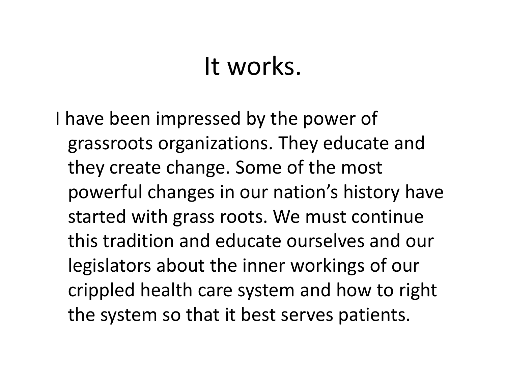### It works.

I have been impressed by the power of grassroots organizations. They educate and they create change. Some of the most powerful changes in our nation's history have started with grass roots. We must continue this tradition and educate ourselves and our legislators about the inner workings of our crippled health care system and how to right the system so that it best serves patients.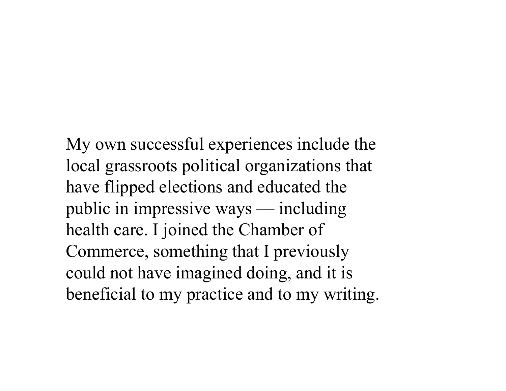My own successful experiences include the local grassroots political organizations that have flipped elections and educated the public in impressive ways — including health care. I joined the Chamber of Commerce, something that I previously could not have imagined doing, and it is beneficial to my practice and to my writing.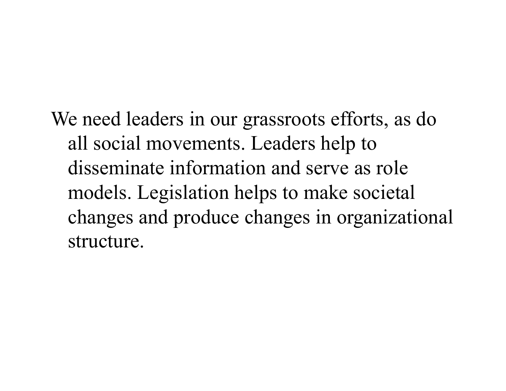We need leaders in our grassroots efforts, as do all social movements. Leaders help to disseminate information and serve as role models. Legislation helps to make societal changes and produce changes in organizational structure.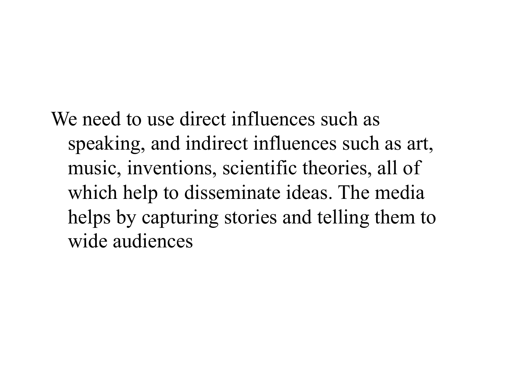We need to use direct influences such as speaking, and indirect influences such as art, music, inventions, scientific theories, all of which help to disseminate ideas. The media helps by capturing stories and telling them to wide audiences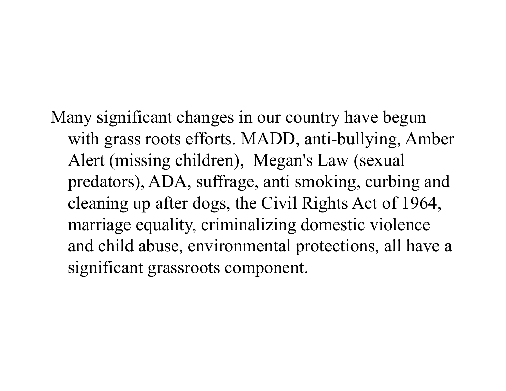Many significant changes in our country have begun with grass roots efforts. MADD, anti-bullying, Amber Alert (missing children), Megan's Law (sexual predators), ADA, suffrage, anti smoking, curbing and cleaning up after dogs, the Civil Rights Act of 1964, marriage equality, criminalizing domestic violence and child abuse, environmental protections, all have a significant grassroots component.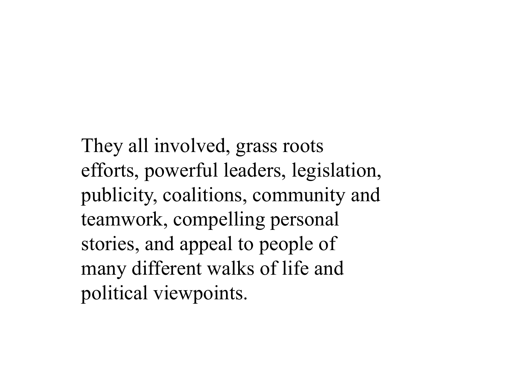They all involved, grass roots efforts, powerful leaders, legislation, publicity, coalitions, community and teamwork, compelling personal stories, and appeal to people of many different walks of life and political viewpoints.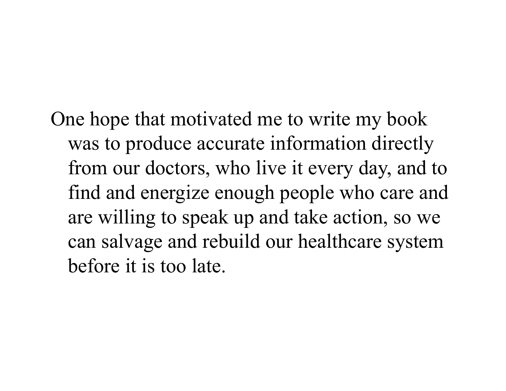One hope that motivated me to write my book was to produce accurate information directly from our doctors, who live it every day, and to find and energize enough people who care and are willing to speak up and take action, so we can salvage and rebuild our healthcare system before it is too late.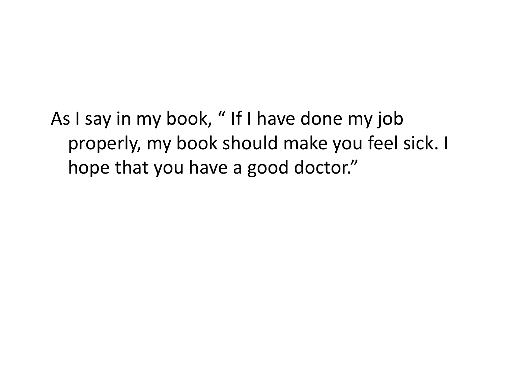As I say in my book, " If I have done my job properly, my book should make you feel sick. I hope that you have a good doctor."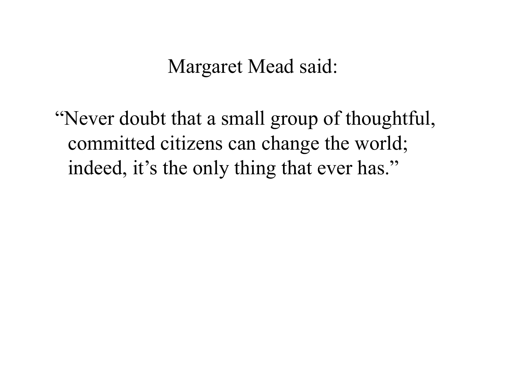Margaret Mead said:

"Never doubt that a small group of thoughtful, committed citizens can change the world; indeed, it's the only thing that ever has."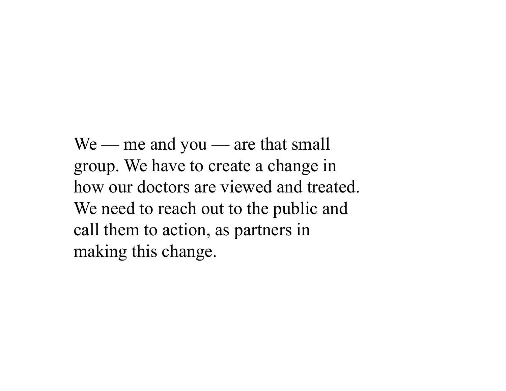We — me and you — are that small group. We have to create a change in how our doctors are viewed and treated. We need to reach out to the public and call them to action, as partners in making this change.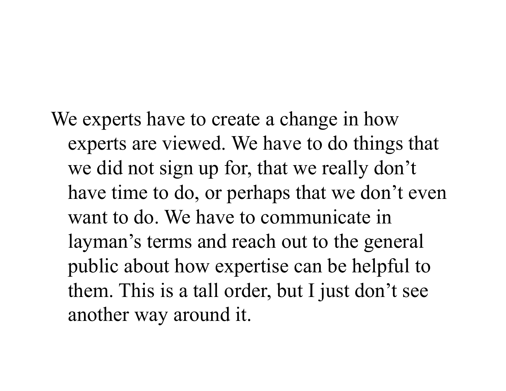# We experts have to create a change in how experts are viewed. We have to do things that

we did not sign up for, that we really don't have time to do, or perhaps that we don't even want to do. We have to communicate in layman's terms and reach out to the general public about how expertise can be helpful to them. This is a tall order, but I just don't see another way around it.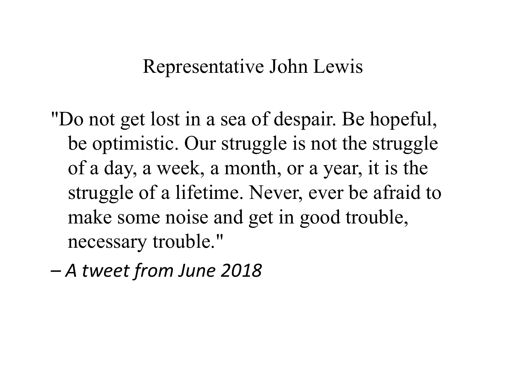#### Representative John Lewis

"Do not get lost in a sea of despair. Be hopeful, be optimistic. Our struggle is not the struggle of a day, a week, a month, or a year, it is the struggle of a lifetime. Never, ever be afraid to make some noise and get in good trouble, necessary trouble."

 *A tweet from June 2018*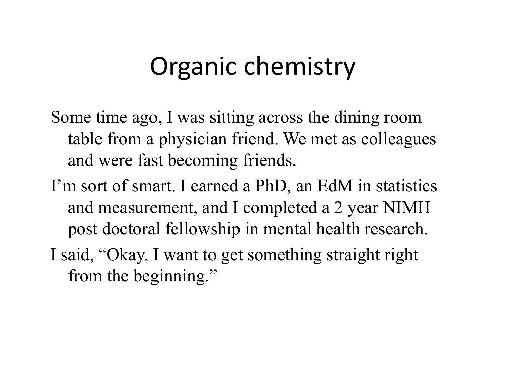## Organic chemistry

Some time ago, I was sitting across the dining room table from a physician friend. We met as colleagues and were fast becoming friends.

- I'm sort of smart. I earned a PhD, an EdM in statistics and measurement, and I completed a 2 year NIMH post doctoral fellowship in mental health research.
- I said, "Okay, I want to get something straight right from the beginning."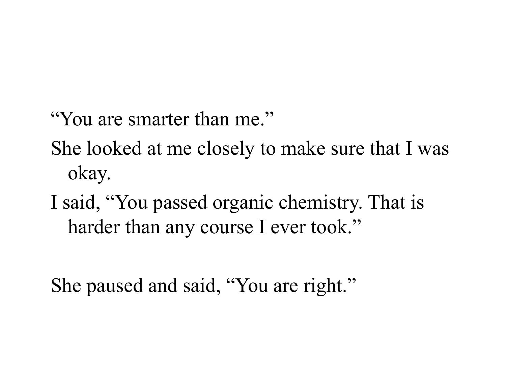"You are smarter than me."

She looked at me closely to make sure that I was okay.

I said, "You passed organic chemistry. That is harder than any course I ever took."

She paused and said, "You are right."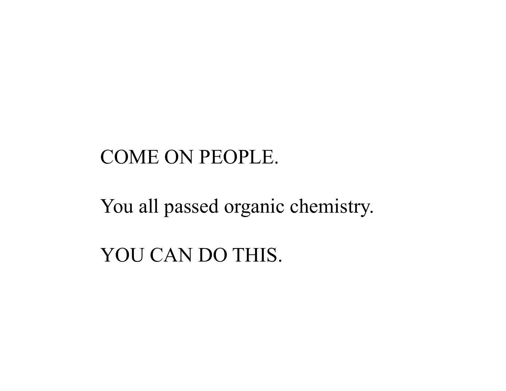#### COME ON PEOPLE.

You all passed organic chemistry.

YOU CAN DO THIS.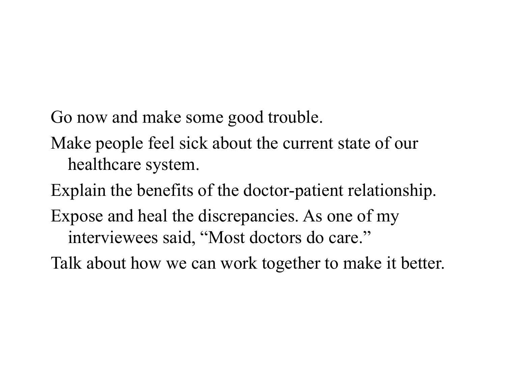Go now and make some good trouble.

- Make people feel sick about the current state of our healthcare system.
- Explain the benefits of the doctor-patient relationship.
- Expose and heal the discrepancies. As one of my interviewees said, "Most doctors do care."
- Talk about how we can work together to make it better.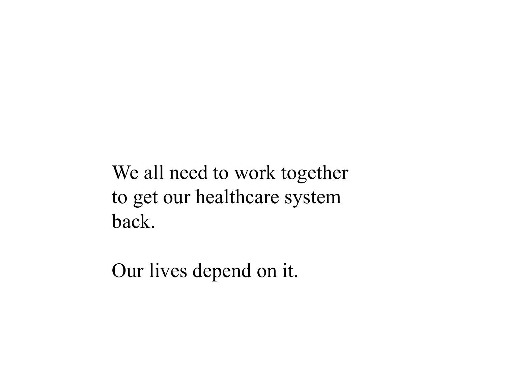We all need to work together to get our healthcare system back.

Our lives depend on it.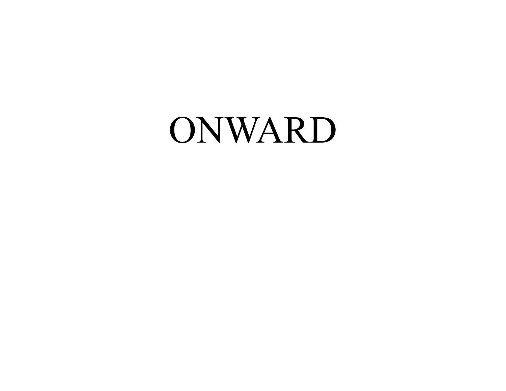## ONWARD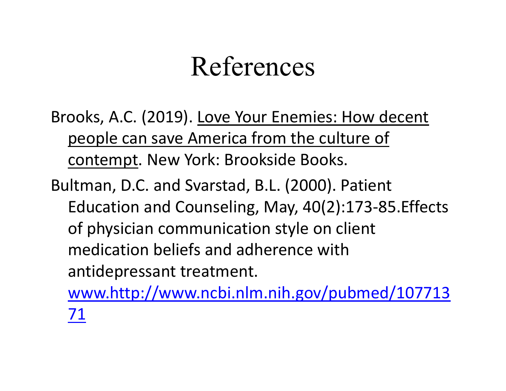### References

Brooks, A.C. (2019). Love Your Enemies: How decent people can save America from the culture of contempt. New York: Brookside Books.

Bultman, D.C. and Svarstad, B.L. (2000). Patient Education and Counseling, May, 40(2):173-85.Effects of physician communication style on client medication beliefs and adherence with antidepressant treatment.

www.http://www.ncbi.nlm.nih.gov/pubmed/107713 71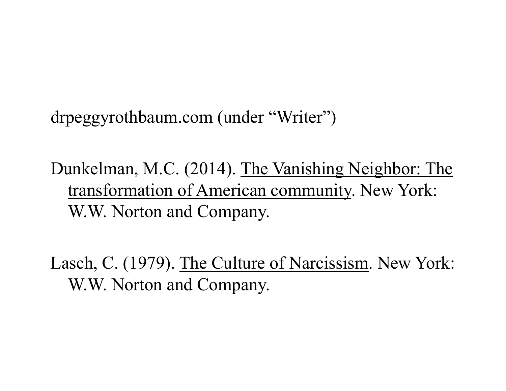drpeggyrothbaum.com (under "Writer")

Dunkelman, M.C. (2014). The Vanishing Neighbor: The transformation of American community. New York: W.W. Norton and Company.

Lasch, C. (1979). The Culture of Narcissism. New York: W.W. Norton and Company.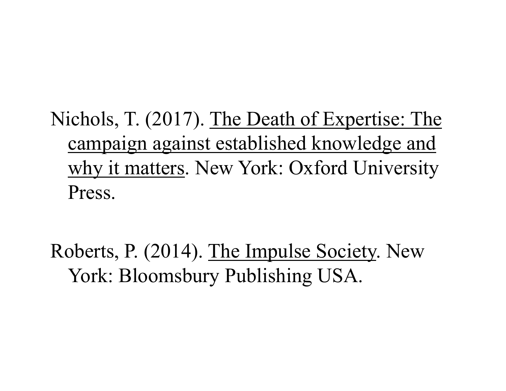Nichols, T. (2017). The Death of Expertise: The campaign against established knowledge and why it matters. New York: Oxford University Press.

Roberts, P. (2014). The Impulse Society. New York: Bloomsbury Publishing USA.